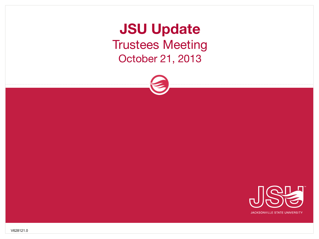**JSU Update** Trustees Meeting October 21, 2013



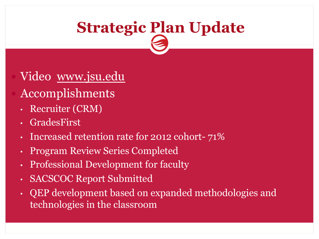## **Strategic Plan Update**

#### Video www.jsu.edu

- Accomplishments
	- Recruiter (CRM)
	- GradesFirst
	- Increased retention rate for 2012 cohort- 71%
	- Program Review Series Completed
	- Professional Development for faculty
	- SACSCOC Report Submitted
	- QEP development based on expanded methodologies and technologies in the classroom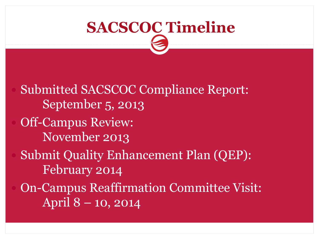# **SACSCOC Timeline**

 Submitted SACSCOC Compliance Report: September 5, 2013 Off-Campus Review: November 2013 Submit Quality Enhancement Plan (QEP): February 2014 On-Campus Reaffirmation Committee Visit: April 8 – 10, 2014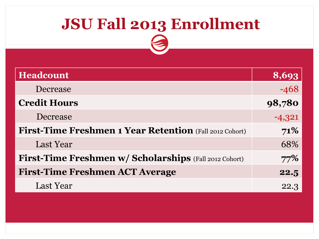## **JSU Fall 2013 Enrollment**

| <b>Headcount</b>                                               | 8,693    |
|----------------------------------------------------------------|----------|
| Decrease                                                       | $-468$   |
| <b>Credit Hours</b>                                            | 98,780   |
| Decrease                                                       | $-4,321$ |
| <b>First-Time Freshmen 1 Year Retention</b> (Fall 2012 Cohort) | 71%      |
| Last Year                                                      | 68%      |
| <b>First-Time Freshmen w/ Scholarships</b> (Fall 2012 Cohort)  | 77%      |
| <b>First-Time Freshmen ACT Average</b>                         | 22.5     |
| Last Year                                                      | 22.3     |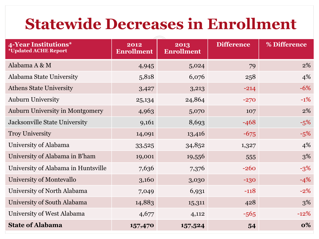### **Statewide Decreases in Enrollment**

| 4-Year Institutions*<br><i><b>*Updated ACHE Report</b></i> | 2012<br><b>Enrollment</b> | 2013<br><b>Enrollment</b> | <b>Difference</b> | % Difference |
|------------------------------------------------------------|---------------------------|---------------------------|-------------------|--------------|
| Alabama A & M                                              | 4,945                     | 5,024                     | 79                | $2\%$        |
| Alabama State University                                   | 5,818                     | 6,076                     | 258               | 4%           |
| <b>Athens State University</b>                             | 3,427                     | 3,213                     | $-214$            | $-6\%$       |
| <b>Auburn University</b>                                   | 25,134                    | 24,864                    | $-270$            | $-1\%$       |
| <b>Auburn University in Montgomery</b>                     | 4,963                     | 5,070                     | 107               | 2%           |
| <b>Jacksonville State University</b>                       | 9,161                     | 8,693                     | $-468$            | $-5%$        |
| <b>Troy University</b>                                     | 14,091                    | 13,416                    | $-675$            | $-5%$        |
| University of Alabama                                      | 33,525                    | 34,852                    | 1,327             | 4%           |
| University of Alabama in B'ham                             | 19,001                    | 19,556                    | 555               | 3%           |
| University of Alabama in Huntsville                        | 7,636                     | 7,376                     | $-260$            | $-3%$        |
| University of Montevallo                                   | 3,160                     | 3,030                     | $-130$            | $-4%$        |
| University of North Alabama                                | 7,049                     | 6,931                     | $-118$            | $-2\%$       |
| University of South Alabama                                | 14,883                    | 15,311                    | 428               | 3%           |
| University of West Alabama                                 | 4,677                     | 4,112                     | $-565$            | $-12%$       |
| <b>State of Alabama</b>                                    | 157,470                   | 157,524                   | 54                | 0%           |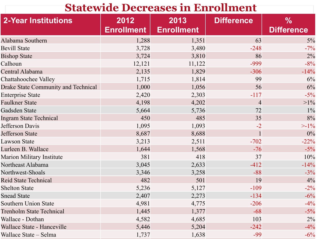#### **Statewide Decreases in Enrollment**

| <b>2-Year Institutions</b>                 | 2012<br><b>Enrollment</b> | 2013<br><b>Enrollment</b> | <b>Difference</b> | $\frac{0}{0}$<br><b>Difference</b> |
|--------------------------------------------|---------------------------|---------------------------|-------------------|------------------------------------|
| Alabama Southern                           | 1,288                     | 1,351                     | 63                | $5\%$                              |
| <b>Bevill State</b>                        | 3,728                     | 3,480                     | $-248$            | $-7\%$                             |
| <b>Bishop State</b>                        | 3,724                     | 3,810                     | 86                | 2%                                 |
| Calhoun                                    | 12,121                    | 11,122                    | -999              | $-8%$                              |
| Central Alabama                            | 2,135                     | 1,829                     | $-306$            | $-14%$                             |
| Chattahoochee Valley                       | 1,715                     | 1,814                     | 99                | 6%                                 |
| <b>Drake State Community and Technical</b> | 1,000                     | 1,056                     | 56                | 6%                                 |
| <b>Enterprise State</b>                    | 2,420                     | 2,303                     | $-117$            | $-5\%$                             |
| <b>Faulkner State</b>                      | 4,198                     | 4,202                     | $\overline{4}$    | $>1\%$                             |
| Gadsden State                              | 5,664                     | 5,736                     | 72                | $1\%$                              |
| <b>Ingram State Technical</b>              | 450                       | 485                       | 35                | 8%                                 |
| <b>Jefferson Davis</b>                     | 1,095                     | 1,093                     | $-2$              | $>1\%$                             |
| <b>Jefferson State</b>                     | 8,687                     | 8,688                     |                   | 0%                                 |
| <b>Lawson State</b>                        | 3,213                     | 2,511                     | $-702$            | $-22%$                             |
| Lurleen B. Wallace                         | 1,644                     | 1,568                     | $-76$             | $-5\%$                             |
| Marion Military Institute                  | 381                       | 418                       | 37                | 10%                                |
| Northeast Alabama                          | 3,045                     | 2,633                     | $-412$            | $-14%$                             |
| Northwest-Shoals                           | 3,346                     | 3,258                     | $-88$             | $-3%$                              |
| <b>Reid State Technical</b>                | 482                       | 501                       | 19                | 4%                                 |
| <b>Shelton State</b>                       | 5,236                     | 5,127                     | $-109$            | $-2\%$                             |
| <b>Snead State</b>                         | 2,407                     | 2,273                     | $-134$            | $-6%$                              |
| <b>Southern Union State</b>                | 4,981                     | 4,775                     | $-206$            | $-4\%$                             |
| <b>Trenholm State Technical</b>            | 1,445                     | 1,377                     | $-68$             | $-5\%$                             |
| Wallace - Dothan                           | 4,582                     | 4,685                     | 103               | 2%                                 |
| Wallace State - Hanceville                 | 5,446                     | 5,204                     | $-242$            | $-4\%$                             |
| Wallace State - Selma                      | 1,737                     | 1,638                     | $-99$             | $-6\%$                             |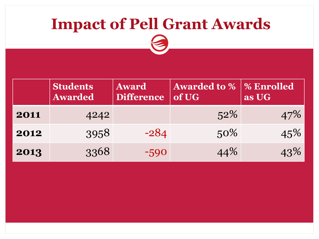### **Impact of Pell Grant Awards**

| dents<br>ar $\overline{\textbf{ded}}^{\top}$ | <b>Award</b><br>Difference of UG | <b>Awarded to %  </b> | $\mathbf{Q}_4$<br>$\overline{\mathbf{a}}$ |
|----------------------------------------------|----------------------------------|-----------------------|-------------------------------------------|
| $\Lambda$ O $\Lambda$ O                      |                                  |                       |                                           |

|      | <b>Students</b><br><b>Awarded</b> | <b>Award</b><br><b>Difference</b> | <b>Awarded to %   % Enrolled</b><br>of UG | as UG |
|------|-----------------------------------|-----------------------------------|-------------------------------------------|-------|
| 2011 | 4242                              |                                   | 52%                                       | 47%   |
| 2012 | 3958                              | $-284$                            | $50\%$                                    | 45%   |
| 2013 | 3368                              | $-590$                            | 44%                                       | 43%   |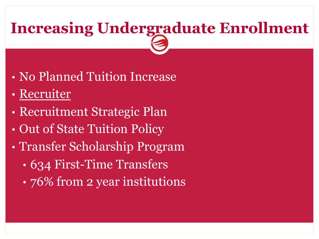## **Increasing Undergraduate Enrollment**

- No Planned Tuition Increase
- Recruiter
- Recruitment Strategic Plan
- Out of State Tuition Policy
- Transfer Scholarship Program
	- 634 First-Time Transfers
	- 76% from 2 year institutions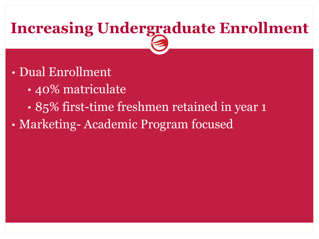## **Increasing Undergraduate Enrollment**

- Dual Enrollment
	- 40% matriculate
	- 85% first-time freshmen retained in year 1
- Marketing- Academic Program focused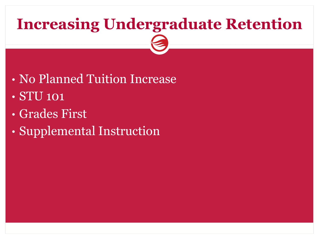## **Increasing Undergraduate Retention**

- No Planned Tuition Increase • **STU** 101
- Grades First
- Supplemental Instruction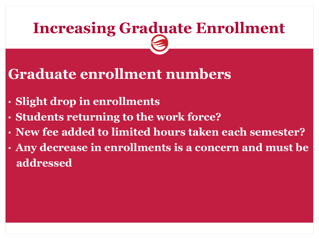## **Increasing Graduate Enrollment**

#### **Graduate enrollment numbers**

- **Slight drop in enrollments**
- **Students returning to the work force?**
- **New fee added to limited hours taken each semester?**
- **Any decrease in enrollments is a concern and must be addressed**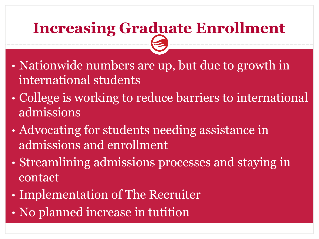## **Increasing Graduate Enrollment**

- Nationwide numbers are up, but due to growth in international students
- College is working to reduce barriers to international admissions
- Advocating for students needing assistance in admissions and enrollment
- Streamlining admissions processes and staying in contact
- Implementation of The Recruiter
- No planned increase in tutition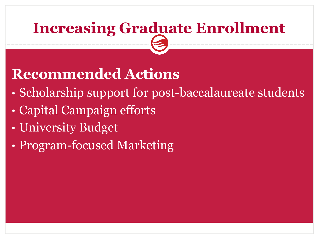## **Increasing Graduate Enrollment**

### **Recommended Actions**

- Scholarship support for post-baccalaureate students
- Capital Campaign efforts
- University Budget
- Program-focused Marketing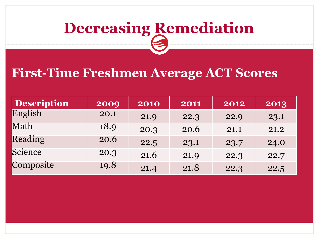#### **First-Time Freshmen Average ACT Scores**

| <b>Description</b> | 2009 | 2010 | 2011 | 2012 | 2013 |
|--------------------|------|------|------|------|------|
| English            | 20.1 | 21.9 | 22.3 | 22.9 | 23.1 |
| Math               | 18.9 | 20.3 | 20.6 | 21.1 | 21.2 |
| Reading            | 20.6 | 22.5 | 23.1 | 23.7 | 24.0 |
| Science            | 20.3 | 21.6 | 21.9 | 22.3 | 22.7 |
| Composite          | 19.8 | 21.4 | 21.8 | 22.3 | 22.5 |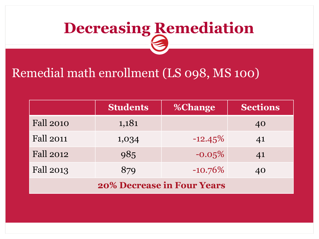#### Remedial math enrollment (LS 098, MS 100)

|                                   | <b>Students</b> | <b>%Change</b> | <b>Sections</b> |  |  |
|-----------------------------------|-----------------|----------------|-----------------|--|--|
| <b>Fall 2010</b>                  | 1,181           |                | 40              |  |  |
| <b>Fall 2011</b>                  | 1,034           | $-12.45\%$     | 41              |  |  |
| <b>Fall 2012</b>                  | 985             | $-0.05%$       | 41              |  |  |
| <b>Fall 2013</b>                  | 879             | $-10.76\%$     | 40              |  |  |
| <b>20% Decrease in Four Years</b> |                 |                |                 |  |  |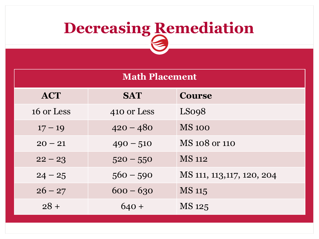| <b>Math Placement</b> |             |                            |  |  |
|-----------------------|-------------|----------------------------|--|--|
| <b>ACT</b>            | <b>SAT</b>  | <b>Course</b>              |  |  |
| 16 or Less            | 410 or Less | LSo <sub>98</sub>          |  |  |
| $17 - 19$             | $420 - 480$ | <b>MS 100</b>              |  |  |
| $20 - 21$             | $490 - 510$ | MS 108 or 110              |  |  |
| $22 - 23$             | $520 - 550$ | <b>MS</b> 112              |  |  |
| $24 - 25$             | $560 - 590$ | MS 111, 113, 117, 120, 204 |  |  |
| $26 - 27$             | $600 - 630$ | <b>MS</b> 115              |  |  |
| $28 +$                | $640 +$     | MS 125                     |  |  |
|                       |             |                            |  |  |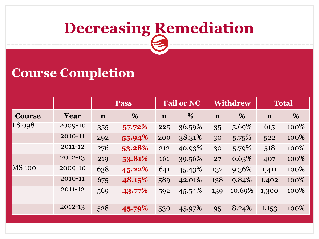#### **Course Completion**

|               |         | <b>Pass</b> |           | <b>Fail or NC</b> |        |             | <b>Withdrew</b> |             | <b>Total</b> |  |
|---------------|---------|-------------|-----------|-------------------|--------|-------------|-----------------|-------------|--------------|--|
| <b>Course</b> | Year    | $\mathbf n$ | %         | $\mathbf n$       | %      | $\mathbf n$ | %               | $\mathbf n$ | %            |  |
| <b>LS 098</b> | 2009-10 | 355         | $57.72\%$ | 225               | 36.59% | 35          | 5.69%           | 615         | 100%         |  |
|               | 2010-11 | 292         | 55.94%    | 200               | 38.31% | 30          | 5.75%           | 522         | 100%         |  |
|               | 2011-12 | 276         | 53.28%    | 212               | 40.93% | 30          | 5.79%           | 518         | 100%         |  |
|               | 2012-13 | 219         | 53.81%    | 161               | 39.56% | 27          | 6.63%           | 407         | 100%         |  |
| <b>MS 100</b> | 2009-10 | 638         | 45.22%    | 641               | 45.43% | 132         | 9.36%           | 1,411       | 100%         |  |
|               | 2010-11 | 675         | 48.15%    | 589               | 42.01% | 138         | 9.84%           | 1,402       | 100%         |  |
|               | 2011-12 | 569         | 43.77%    | 592               | 45.54% | 139         | 10.69%          | 1,300       | 100%         |  |
|               | 2012-13 | 528         | 45.79%    | 530               | 45.97% | 95          | 8.24%           | 1,153       | 100%         |  |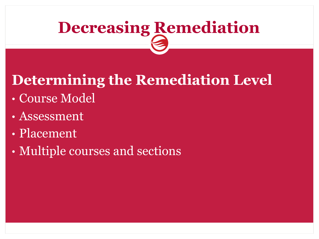## **Determining the Remediation Level**

- Course Model
- Assessment
- Placement
- Multiple courses and sections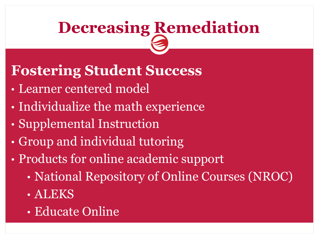#### **Fostering Student Success**

- Learner centered model
- Individualize the math experience
- Supplemental Instruction
- Group and individual tutoring
- Products for online academic support
	- National Repository of Online Courses (NROC)
	- ALEKS
	- Educate Online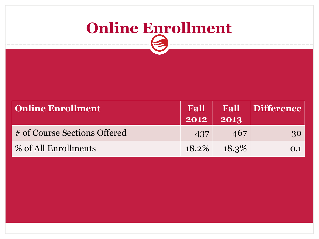## **Online Enrollment**

| <b>Online Enrollment</b>     | $2012$ 2013 |                | <b>Fall   Fall   Difference</b> |
|------------------------------|-------------|----------------|---------------------------------|
| # of Course Sections Offered | 437         | 467            | <b>30</b>                       |
| % of All Enrollments         |             | $18.2\%$ 18.3% | 0.1                             |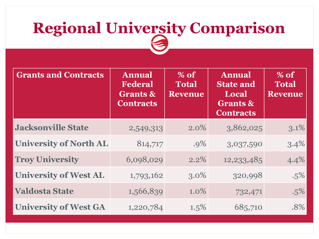## **Regional University Comparison**

| <b>Grants and Contracts</b>   | <b>Annual</b><br><b>Federal</b><br><b>Grants &amp;</b><br><b>Contracts</b> | $%$ of<br><b>Total</b><br>Revenue | <b>Annual</b><br><b>State and</b><br>Local<br><b>Grants &amp;</b><br><b>Contracts</b> | $%$ of<br><b>Total</b><br><b>Revenue</b> |
|-------------------------------|----------------------------------------------------------------------------|-----------------------------------|---------------------------------------------------------------------------------------|------------------------------------------|
| <b>Jacksonville State</b>     | 2,549,313                                                                  | $2.0\%$                           | 3,862,025                                                                             | 3.1%                                     |
| <b>University of North AL</b> | 814,717                                                                    | $.9\%$                            | 3,037,590                                                                             | 3.4%                                     |
| <b>Troy University</b>        | 6,098,029                                                                  | $2.2\%$                           | 12,233,485                                                                            | 4.4%                                     |
| <b>University of West AL</b>  | 1,793,162                                                                  | $3.0\%$                           | 320,998                                                                               | $.5\%$                                   |
| <b>Valdosta State</b>         | 1,566,839                                                                  | $1.0\%$                           | 732,471                                                                               | .5%                                      |
| <b>University of West GA</b>  | 1,220,784                                                                  | $1.5\%$                           | 685,710                                                                               | .8%                                      |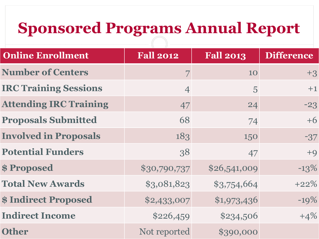## **Sponsored Programs Annual Report**

| <b>Online Enrollment</b>      | <b>Fall 2012</b> | <b>Fall 2013</b> | <b>Difference</b> |
|-------------------------------|------------------|------------------|-------------------|
| <b>Number of Centers</b>      | 7                | 10               | $+3$              |
| <b>IRC Training Sessions</b>  | $\overline{4}$   | 5                | $+1$              |
| <b>Attending IRC Training</b> | 47               | 24               | $-23$             |
| <b>Proposals Submitted</b>    | 68               | 74               | $+6$              |
| <b>Involved in Proposals</b>  | 183              | 150              | $-37$             |
| <b>Potential Funders</b>      | 38               | 47               | $+9$              |
| \$Proposed                    | \$30,790,737     | \$26,541,009     | $-13%$            |
| <b>Total New Awards</b>       | \$3,081,823      | \$3,754,664      | $+22%$            |
| <b>\$Indirect Proposed</b>    | \$2,433,007      | \$1,973,436      | $-19%$            |
| <b>Indirect Income</b>        | \$226,459        | \$234,506        | $+4%$             |
| <b>Other</b>                  | Not reported     | \$390,000        |                   |